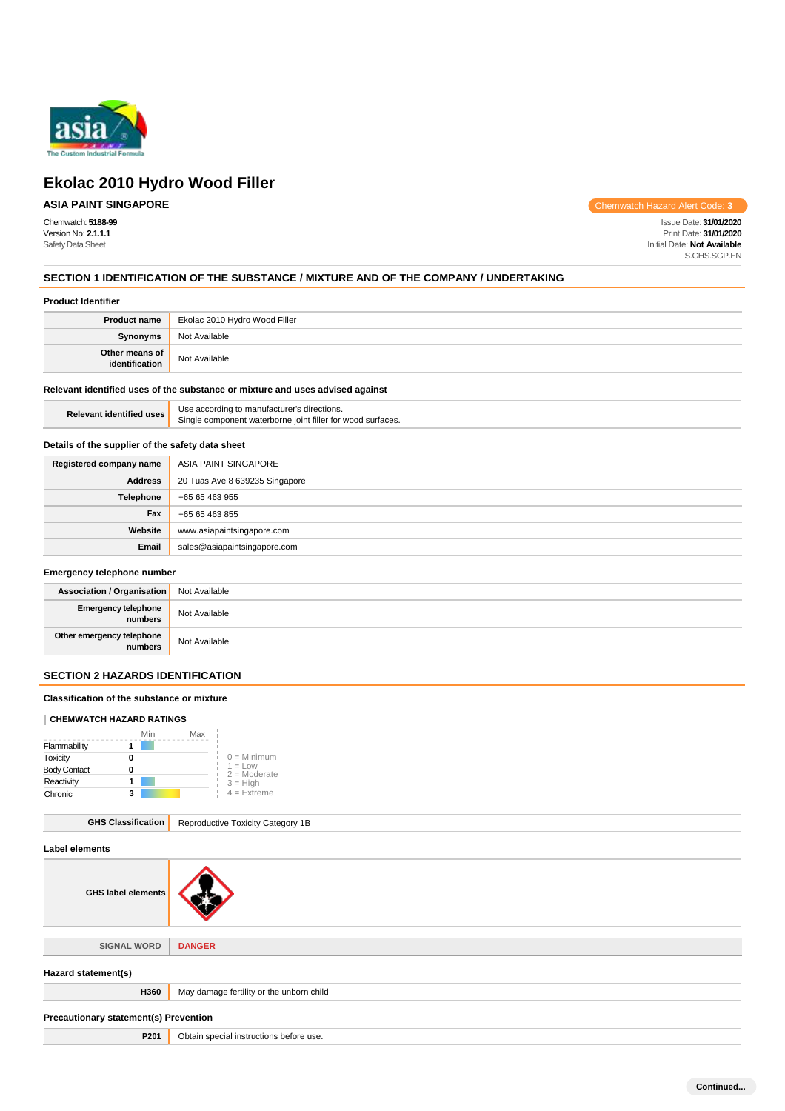

# **Ekolac 2010 Hydro Wood Filler**

# **ASIA PAINT SINGAPORE**

Chemwatch Hazard Alert Code: **3**

Chemwatch: **5188-99** Issue Date: **31/01/2020** Version No: **2.1.1.1** Print Date: **31/01/2020 Initial Date: Not Available** S.GHS.SGP.EN

## **SECTION 1 IDENTIFICATION OF THE SUBSTANCE / MIXTURE AND OF THE COMPANY / UNDERTAKING**

# **Product Identifier**

| <b>Product name</b>              | Ekolac 2010 Hydro Wood Filler |
|----------------------------------|-------------------------------|
| <b>Synonyms</b>                  | Not Available                 |
| Other means of<br>identification | Not Available                 |

## **Relevant identified uses of the substance or mixture and uses advised against**

| Relevant identified uses | Use according to manufacturer's directions.                 |
|--------------------------|-------------------------------------------------------------|
|                          | Single component waterborne joint filler for wood surfaces. |

# **Details of the supplier of the safety data sheet**

| Registered company name | ASIA PAINT SINGAPORE           |
|-------------------------|--------------------------------|
| <b>Address</b>          | 20 Tuas Ave 8 639235 Singapore |
| <b>Telephone</b>        | +65 65 463 955                 |
| Fax                     | +65 65 463 855                 |
| Website                 | www.asiapaintsingapore.com     |
| Email                   | sales@asiapaintsingapore.com   |

#### **Emergency telephone number**

| <b>Association / Organisation</b> Not Available |               |
|-------------------------------------------------|---------------|
| Emergency telephone<br>numbers                  | Not Available |
| Other emergency telephone<br>  numbers          | Not Available |

# **SECTION 2 HAZARDS IDENTIFICATION**

### **Classification of the substance or mixture**

#### **CHEMWATCH HAZARD RATINGS**

|                     | Min | Max |                             |
|---------------------|-----|-----|-----------------------------|
| Flammability        |     |     |                             |
| Toxicity            |     |     | $0 =$ Minimum               |
| <b>Body Contact</b> |     |     | $1 = Low$<br>$2 =$ Moderate |
| Reactivity          |     |     | $3 = High$                  |
| Chronic             | з   |     | $4 =$ Extreme               |

| <b>GHS label elements</b>                |  |
|------------------------------------------|--|
|                                          |  |
| <b>DANGER</b>                            |  |
|                                          |  |
| May damage fertility or the unborn child |  |
| Precautionary statement(s) Prevention    |  |
| Obtain special instructions before use.  |  |
|                                          |  |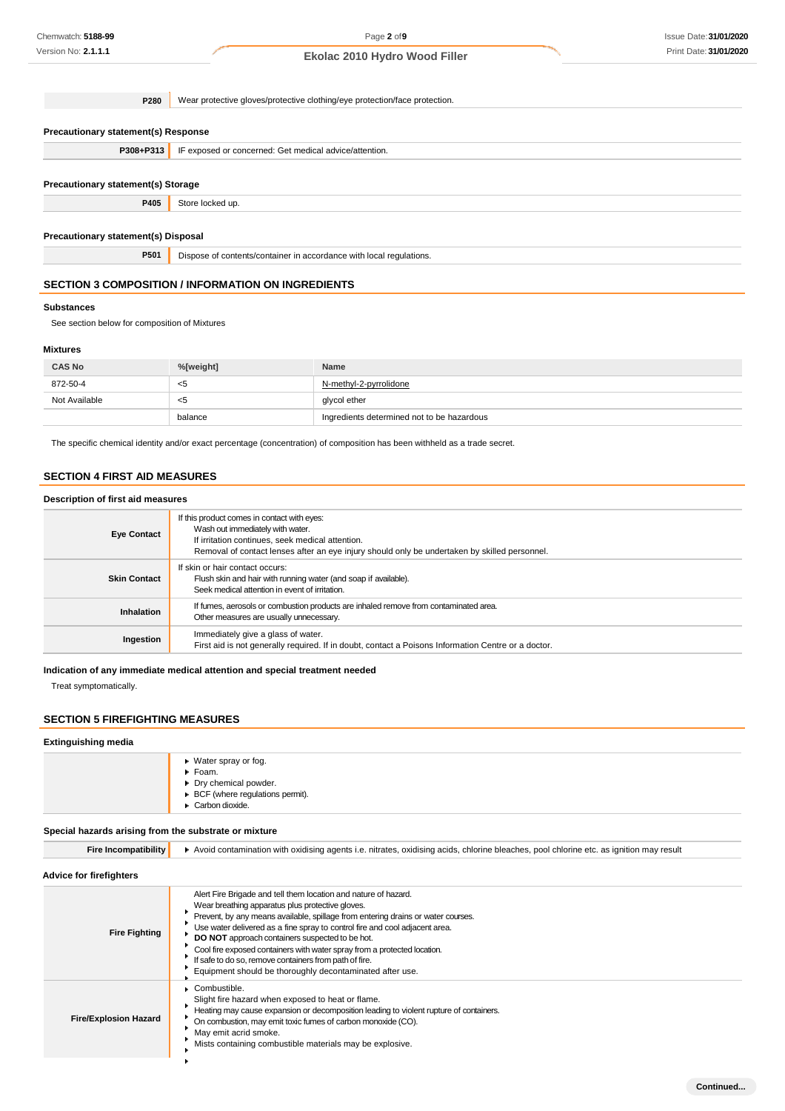**Precautionary statement(s) Response P308+P313** IF exposed or concerned: Get medical advice/attention. **Precautionary statement(s) Storage P405** Store locked up. **Precautionary statement(s) Disposal P501** Dispose of contents/container in accordance with local regulations. **P280** Wear protective gloves/protective clothing/eye protection/face protection.

# **SECTION 3 COMPOSITION / INFORMATION ON INGREDIENTS**

### **Substances**

See section below for composition of Mixtures

## **Mixtures**

| <b>CAS No</b> | %[weight] | <b>Name</b>                                |
|---------------|-----------|--------------------------------------------|
| 872-50-4      | <5        | N-methyl-2-pyrrolidone                     |
| Not Available | <5        | glycol ether                               |
|               | balance   | Ingredients determined not to be hazardous |

The specific chemical identity and/or exact percentage (concentration) of composition has been withheld as a trade secret.

# **SECTION 4 FIRST AID MEASURES**

#### **Description of first aid measures**

| <b>Eye Contact</b>  | If this product comes in contact with eyes:<br>Wash out immediately with water.<br>If irritation continues, seek medical attention.<br>Removal of contact lenses after an eye injury should only be undertaken by skilled personnel. |
|---------------------|--------------------------------------------------------------------------------------------------------------------------------------------------------------------------------------------------------------------------------------|
| <b>Skin Contact</b> | If skin or hair contact occurs:<br>Flush skin and hair with running water (and soap if available).<br>Seek medical attention in event of irritation.                                                                                 |
| <b>Inhalation</b>   | If fumes, aerosols or combustion products are inhaled remove from contaminated area.<br>Other measures are usually unnecessary.                                                                                                      |
| Ingestion           | Immediately give a glass of water.<br>First aid is not generally required. If in doubt, contact a Poisons Information Centre or a doctor.                                                                                            |

**Indication of any immediate medical attention and special treatment needed**

Treat symptomatically.

## **SECTION 5 FIREFIGHTING MEASURES**

#### **Extinguishing media**

| $\triangleright$ Water spray or fog.             |
|--------------------------------------------------|
| $\blacktriangleright$ Foam.                      |
| Dry chemical powder.                             |
| $\triangleright$ BCF (where regulations permit). |
| $\triangleright$ Carbon dioxide.                 |
|                                                  |

#### **Special hazards arising from the substrate or mixture**

Fire Incompatibility **A** Avoid contamination with oxidising agents i.e. nitrates, oxidising acids, chlorine bleaches, pool chlorine etc. as ignition may result

**Advice for firefighters** Alert Fire Brigade and tell them location and nature of hazard. Wear breathing apparatus plus protective gloves.  $\bullet$ Prevent, by any means available, spillage from entering drains or water courses. Use water delivered as a fine spray to control fire and cool adjacent area. **Fire Fighting**  $\bullet$ **DO NOT** approach containers suspected to be hot. Cool fire exposed containers with water spray from a protected location.  $\bullet$ If safe to do so, remove containers from path of fire. Equipment should be thoroughly decontaminated after use. Combustible.  $\bullet$ Slight fire hazard when exposed to heat or flame.  $\ddot{\phantom{1}}$ Heating may cause expansion or decomposition leading to violent rupture of containers. **Fire/Explosion Hazard** On combustion, may emit toxic fumes of carbon monoxide (CO). × May emit acrid smoke. Mists containing combustible materials may be explosive.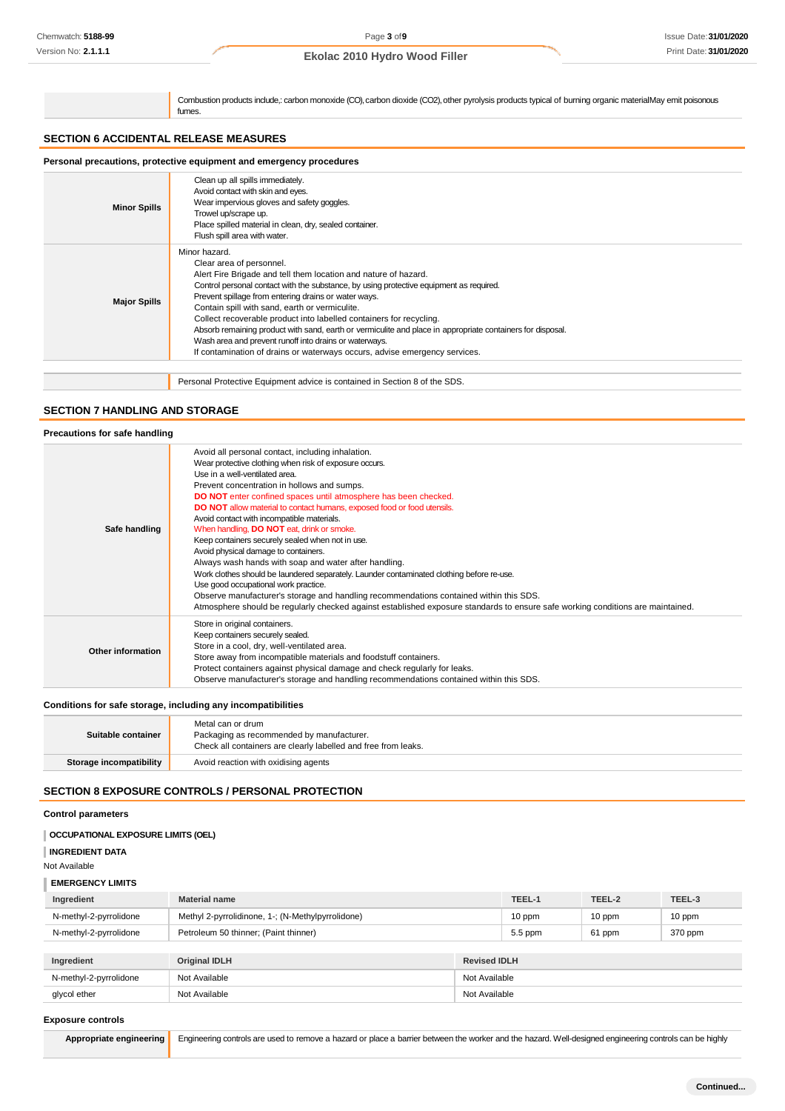Combustion products include,: carbon monoxide (CO), carbon dioxide (CO2), other pyrolysis products typical of burning organic materialMay emit poisonous fumes.

# **SECTION 6 ACCIDENTAL RELEASE MEASURES**

| Personal precautions, protective equipment and emergency procedures |                                                                                                                                                                                                                                                                                                                                                                                                                                                                                                                                                                                                                                                |  |
|---------------------------------------------------------------------|------------------------------------------------------------------------------------------------------------------------------------------------------------------------------------------------------------------------------------------------------------------------------------------------------------------------------------------------------------------------------------------------------------------------------------------------------------------------------------------------------------------------------------------------------------------------------------------------------------------------------------------------|--|
| <b>Minor Spills</b>                                                 | Clean up all spills immediately.<br>Avoid contact with skin and eyes.<br>Wear impervious gloves and safety goggles.<br>Trowel up/scrape up.<br>Place spilled material in clean, dry, sealed container.<br>Flush spill area with water.                                                                                                                                                                                                                                                                                                                                                                                                         |  |
| <b>Major Spills</b>                                                 | Minor hazard.<br>Clear area of personnel.<br>Alert Fire Brigade and tell them location and nature of hazard.<br>Control personal contact with the substance, by using protective equipment as required.<br>Prevent spillage from entering drains or water ways.<br>Contain spill with sand, earth or vermiculite.<br>Collect recoverable product into labelled containers for recycling.<br>Absorb remaining product with sand, earth or vermiculite and place in appropriate containers for disposal.<br>Wash area and prevent runoff into drains or waterways.<br>If contamination of drains or waterways occurs, advise emergency services. |  |
|                                                                     |                                                                                                                                                                                                                                                                                                                                                                                                                                                                                                                                                                                                                                                |  |
|                                                                     | Personal Protective Equipment advice is contained in Section 8 of the SDS.                                                                                                                                                                                                                                                                                                                                                                                                                                                                                                                                                                     |  |

# **SECTION 7 HANDLING AND STORAGE**

| Precautions for safe handling |                                                                                                                                                                                                                                                                                                                                                                                                                                                                                                                                                                                                                                                                                                                                                                                                                                                                                                                                                                             |
|-------------------------------|-----------------------------------------------------------------------------------------------------------------------------------------------------------------------------------------------------------------------------------------------------------------------------------------------------------------------------------------------------------------------------------------------------------------------------------------------------------------------------------------------------------------------------------------------------------------------------------------------------------------------------------------------------------------------------------------------------------------------------------------------------------------------------------------------------------------------------------------------------------------------------------------------------------------------------------------------------------------------------|
| Safe handling                 | Avoid all personal contact, including inhalation.<br>Wear protective clothing when risk of exposure occurs.<br>Use in a well-ventilated area.<br>Prevent concentration in hollows and sumps.<br>DO NOT enter confined spaces until atmosphere has been checked.<br><b>DO NOT</b> allow material to contact humans, exposed food or food utensils.<br>Avoid contact with incompatible materials.<br>When handling, <b>DO NOT</b> eat, drink or smoke.<br>Keep containers securely sealed when not in use.<br>Avoid physical damage to containers.<br>Always wash hands with soap and water after handling.<br>Work clothes should be laundered separately. Launder contaminated clothing before re-use.<br>Use good occupational work practice.<br>Observe manufacturer's storage and handling recommendations contained within this SDS.<br>Atmosphere should be regularly checked against established exposure standards to ensure safe working conditions are maintained. |
| <b>Other information</b>      | Store in original containers.<br>Keep containers securely sealed.<br>Store in a cool, dry, well-ventilated area.<br>Store away from incompatible materials and foodstuff containers.<br>Protect containers against physical damage and check regularly for leaks.<br>Observe manufacturer's storage and handling recommendations contained within this SDS.                                                                                                                                                                                                                                                                                                                                                                                                                                                                                                                                                                                                                 |

# **Conditions for safe storage, including any incompatibilities**

| Suitable container      | Metal can or drum<br>Packaging as recommended by manufacturer.<br>Check all containers are clearly labelled and free from leaks. |
|-------------------------|----------------------------------------------------------------------------------------------------------------------------------|
| Storage incompatibility | Avoid reaction with oxidising agents                                                                                             |
|                         |                                                                                                                                  |

# **SECTION 8 EXPOSURE CONTROLS / PERSONAL PROTECTION**

# **Control parameters**

| <b>CCUPATIONAL EXPOSURE LIMITS (OEL)</b> |  |
|------------------------------------------|--|
| <b>INGREDIENT DATA</b>                   |  |
| Not Available                            |  |

# **EMERGENCY LIMITS**

| Ingredient                                               | <b>Material name</b>                              |                     | TEEL-1    | TEEL-2 | TEEL-3  |
|----------------------------------------------------------|---------------------------------------------------|---------------------|-----------|--------|---------|
| N-methyl-2-pyrrolidone                                   | Methyl 2-pyrrolidinone, 1-; (N-Methylpyrrolidone) |                     | 10 ppm    | 10 ppm | 10 ppm  |
| N-methyl-2-pyrrolidone                                   | Petroleum 50 thinner; (Paint thinner)             |                     | $5.5$ ppm | 61 ppm | 370 ppm |
|                                                          |                                                   |                     |           |        |         |
| Ingredient                                               | <b>Original IDLH</b>                              | <b>Revised IDLH</b> |           |        |         |
| N-methyl-2-pyrrolidone<br>Not Available<br>Not Available |                                                   |                     |           |        |         |
| Not Available<br>Not Available<br>glycol ether           |                                                   |                     |           |        |         |
|                                                          |                                                   |                     |           |        |         |

### **Exposure controls**

Appropriate engineering Engineering controls are used to remove a hazard or place a barrier between the worker and the hazard. Well-designed engineering controls can be highly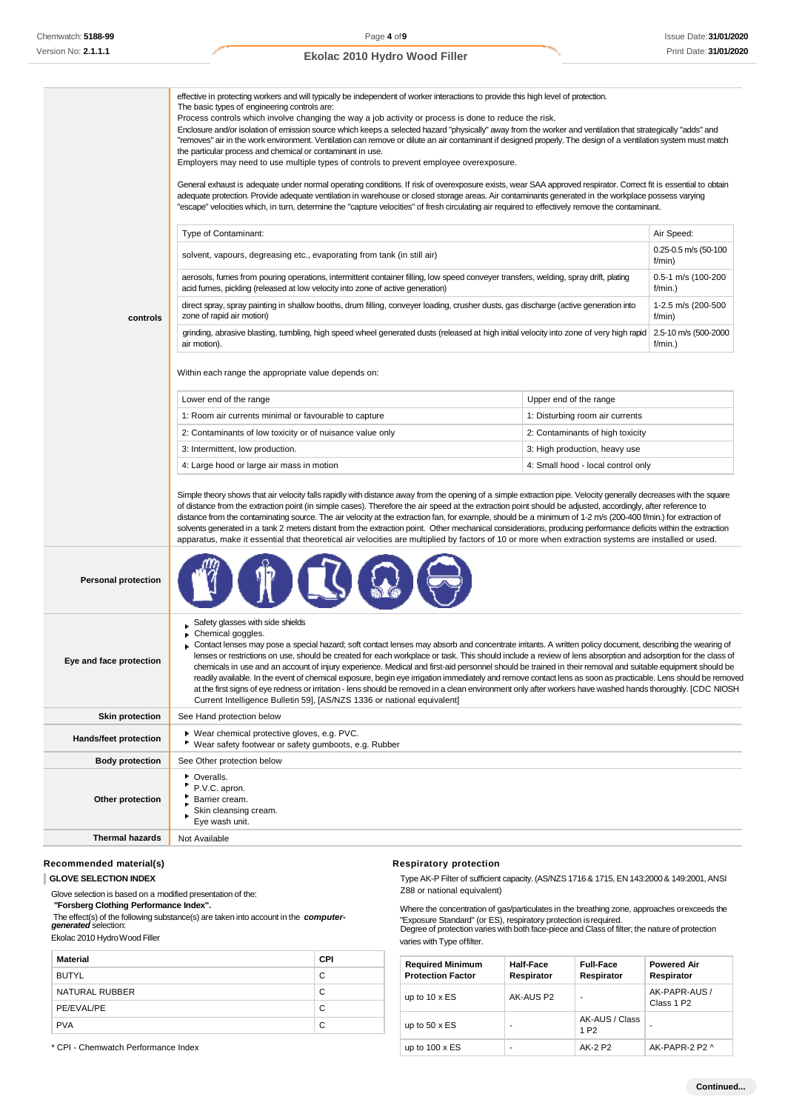| controls                   | effective in protecting workers and will typically be independent of worker interactions to provide this high level of protection.<br>The basic types of engineering controls are:<br>Process controls which involve changing the way a job activity or process is done to reduce the risk.<br>Enclosure and/or isolation of emission source which keeps a selected hazard "physically" away from the worker and ventilation that strategically "adds" and<br>"removes" air in the work environment. Ventilation can remove or dilute an air contaminant if designed properly. The design of a ventilation system must match<br>the particular process and chemical or contaminant in use.<br>Employers may need to use multiple types of controls to prevent employee overexposure.<br>General exhaust is adequate under normal operating conditions. If risk of overexposure exists, wear SAA approved respirator. Correct fit is essential to obtain<br>adequate protection. Provide adequate ventilation in warehouse or closed storage areas. Air contaminants generated in the workplace possess varying<br>"escape" velocities which, in turn, determine the "capture velocities" of fresh circulating air required to effectively remove the contaminant.<br>Type of Contaminant:<br>Air Speed:<br>0.25-0.5 m/s (50-100<br>solvent, vapours, degreasing etc., evaporating from tank (in still air)<br>f/min)<br>aerosols, fumes from pouring operations, intermittent container filling, low speed conveyer transfers, welding, spray drift, plating<br>0.5-1 m/s (100-200<br>acid fumes, pickling (released at low velocity into zone of active generation)<br>f/min.)<br>direct spray, spray painting in shallow booths, drum filling, conveyer loading, crusher dusts, gas discharge (active generation into<br>1-2.5 m/s (200-500 |                                    |                                              |  |
|----------------------------|-----------------------------------------------------------------------------------------------------------------------------------------------------------------------------------------------------------------------------------------------------------------------------------------------------------------------------------------------------------------------------------------------------------------------------------------------------------------------------------------------------------------------------------------------------------------------------------------------------------------------------------------------------------------------------------------------------------------------------------------------------------------------------------------------------------------------------------------------------------------------------------------------------------------------------------------------------------------------------------------------------------------------------------------------------------------------------------------------------------------------------------------------------------------------------------------------------------------------------------------------------------------------------------------------------------------------------------------------------------------------------------------------------------------------------------------------------------------------------------------------------------------------------------------------------------------------------------------------------------------------------------------------------------------------------------------------------------------------------------------------------------------------------------------------------------------------------------------------|------------------------------------|----------------------------------------------|--|
|                            | zone of rapid air motion)<br>grinding, abrasive blasting, tumbling, high speed wheel generated dusts (released at high initial velocity into zone of very high rapid<br>air motion).                                                                                                                                                                                                                                                                                                                                                                                                                                                                                                                                                                                                                                                                                                                                                                                                                                                                                                                                                                                                                                                                                                                                                                                                                                                                                                                                                                                                                                                                                                                                                                                                                                                          |                                    | f/min)<br>2.5-10 m/s (500-2000<br>$f/min.$ ) |  |
|                            | Within each range the appropriate value depends on:                                                                                                                                                                                                                                                                                                                                                                                                                                                                                                                                                                                                                                                                                                                                                                                                                                                                                                                                                                                                                                                                                                                                                                                                                                                                                                                                                                                                                                                                                                                                                                                                                                                                                                                                                                                           |                                    |                                              |  |
|                            | Lower end of the range                                                                                                                                                                                                                                                                                                                                                                                                                                                                                                                                                                                                                                                                                                                                                                                                                                                                                                                                                                                                                                                                                                                                                                                                                                                                                                                                                                                                                                                                                                                                                                                                                                                                                                                                                                                                                        | Upper end of the range             |                                              |  |
|                            | 1: Room air currents minimal or favourable to capture                                                                                                                                                                                                                                                                                                                                                                                                                                                                                                                                                                                                                                                                                                                                                                                                                                                                                                                                                                                                                                                                                                                                                                                                                                                                                                                                                                                                                                                                                                                                                                                                                                                                                                                                                                                         | 1: Disturbing room air currents    |                                              |  |
|                            | 2: Contaminants of low toxicity or of nuisance value only                                                                                                                                                                                                                                                                                                                                                                                                                                                                                                                                                                                                                                                                                                                                                                                                                                                                                                                                                                                                                                                                                                                                                                                                                                                                                                                                                                                                                                                                                                                                                                                                                                                                                                                                                                                     | 2: Contaminants of high toxicity   |                                              |  |
|                            | 3: Intermittent, low production.                                                                                                                                                                                                                                                                                                                                                                                                                                                                                                                                                                                                                                                                                                                                                                                                                                                                                                                                                                                                                                                                                                                                                                                                                                                                                                                                                                                                                                                                                                                                                                                                                                                                                                                                                                                                              | 3: High production, heavy use      |                                              |  |
|                            | 4: Large hood or large air mass in motion                                                                                                                                                                                                                                                                                                                                                                                                                                                                                                                                                                                                                                                                                                                                                                                                                                                                                                                                                                                                                                                                                                                                                                                                                                                                                                                                                                                                                                                                                                                                                                                                                                                                                                                                                                                                     | 4: Small hood - local control only |                                              |  |
|                            | Simple theory shows that air velocity falls rapidly with distance away from the opening of a simple extraction pipe. Velocity generally decreases with the square<br>of distance from the extraction point (in simple cases). Therefore the air speed at the extraction point should be adjusted, accordingly, after reference to<br>distance from the contaminating source. The air velocity at the extraction fan, for example, should be a minimum of 1-2 m/s (200-400 f/min.) for extraction of<br>solvents generated in a tank 2 meters distant from the extraction point. Other mechanical considerations, producing performance deficits within the extraction<br>apparatus, make it essential that theoretical air velocities are multiplied by factors of 10 or more when extraction systems are installed or used.                                                                                                                                                                                                                                                                                                                                                                                                                                                                                                                                                                                                                                                                                                                                                                                                                                                                                                                                                                                                                  |                                    |                                              |  |
| <b>Personal protection</b> |                                                                                                                                                                                                                                                                                                                                                                                                                                                                                                                                                                                                                                                                                                                                                                                                                                                                                                                                                                                                                                                                                                                                                                                                                                                                                                                                                                                                                                                                                                                                                                                                                                                                                                                                                                                                                                               |                                    |                                              |  |
| Eye and face protection    | Safety glasses with side shields<br>Chemical goggles.<br>Contact lenses may pose a special hazard; soft contact lenses may absorb and concentrate irritants. A written policy document, describing the wearing of<br>lenses or restrictions on use, should be created for each workplace or task. This should include a review of lens absorption and adsorption for the class of<br>chemicals in use and an account of injury experience. Medical and first-aid personnel should be trained in their removal and suitable equipment should be<br>readily available. In the event of chemical exposure, begin eye irrigation immediately and remove contact lens as soon as practicable. Lens should be removed<br>at the first signs of eye redness or irritation - lens should be removed in a clean environment only after workers have washed hands thoroughly. [CDC NIOSH<br>Current Intelligence Bulletin 59], [AS/NZS 1336 or national equivalent]                                                                                                                                                                                                                                                                                                                                                                                                                                                                                                                                                                                                                                                                                                                                                                                                                                                                                     |                                    |                                              |  |
| <b>Skin protection</b>     | See Hand protection below                                                                                                                                                                                                                                                                                                                                                                                                                                                                                                                                                                                                                                                                                                                                                                                                                                                                                                                                                                                                                                                                                                                                                                                                                                                                                                                                                                                                                                                                                                                                                                                                                                                                                                                                                                                                                     |                                    |                                              |  |
| Hands/feet protection      | ▶ Wear chemical protective gloves, e.g. PVC.<br>" Wear safety footwear or safety gumboots, e.g. Rubber                                                                                                                                                                                                                                                                                                                                                                                                                                                                                                                                                                                                                                                                                                                                                                                                                                                                                                                                                                                                                                                                                                                                                                                                                                                                                                                                                                                                                                                                                                                                                                                                                                                                                                                                        |                                    |                                              |  |
| <b>Body protection</b>     | See Other protection below                                                                                                                                                                                                                                                                                                                                                                                                                                                                                                                                                                                                                                                                                                                                                                                                                                                                                                                                                                                                                                                                                                                                                                                                                                                                                                                                                                                                                                                                                                                                                                                                                                                                                                                                                                                                                    |                                    |                                              |  |
| Other protection           | ۰.<br>Overalls.<br>P.V.C. apron.<br>Barrier cream.<br>Skin cleansing cream.<br>Eye wash unit.                                                                                                                                                                                                                                                                                                                                                                                                                                                                                                                                                                                                                                                                                                                                                                                                                                                                                                                                                                                                                                                                                                                                                                                                                                                                                                                                                                                                                                                                                                                                                                                                                                                                                                                                                 |                                    |                                              |  |
| <b>Thermal hazards</b>     | Not Available                                                                                                                                                                                                                                                                                                                                                                                                                                                                                                                                                                                                                                                                                                                                                                                                                                                                                                                                                                                                                                                                                                                                                                                                                                                                                                                                                                                                                                                                                                                                                                                                                                                                                                                                                                                                                                 |                                    |                                              |  |
|                            |                                                                                                                                                                                                                                                                                                                                                                                                                                                                                                                                                                                                                                                                                                                                                                                                                                                                                                                                                                                                                                                                                                                                                                                                                                                                                                                                                                                                                                                                                                                                                                                                                                                                                                                                                                                                                                               |                                    |                                              |  |

# Recommended material(s) **Respiratory Respiratory protection**

Glove selection is based on a modified presentation of the:<br>"Forsberg Clothing Performance Index".

The effect(s) of the following substance(s) are taken into account in the *computer-*

| <b>Material</b> | <b>CPI</b> |
|-----------------|------------|
| <b>BUTYL</b>    | C          |
| NATURAL RUBBER  | C          |
| PE/EVAL/PE      | С          |
| <b>PVA</b>      | C          |

\* CPI - Chemwatch Performance Index

**GLOVE SELECTION INDEX**<br>
Glove selection is based on a modified presentation of the:<br> **CROWE** SERIEGEN CROWER CROWER TO THE CROWER CROWER TO THE CROWER CROWER CROWER CROWER CROWER CROWER CROWER CROWER

*"***Forsberg Clothing Performance Index".** Where the concentration of gas/particulates in the breathing zone, approaches orexceeds the The enectisy of the individual substance(s) are taken mid account in the **computer-** "Exposure Standard" (or ES), respiratory protection is required.<br>Opgree of protection varies with both face-piece and Class of filter; th Ekolac 2010 Hydro Wood Filler varies with Type offilter.

| <b>Required Minimum</b><br><b>Protection Factor</b> | Half-Face<br>Respirator | <b>Full-Face</b><br>Respirator     | <b>Powered Air</b><br>Respirator        |
|-----------------------------------------------------|-------------------------|------------------------------------|-----------------------------------------|
| up to $10 \times ES$                                | AK-AUS P2               | ٠                                  | AK-PAPR-AUS /<br>Class 1 P <sub>2</sub> |
| up to $50 \times ES$                                | ۰                       | AK-AUS / Class<br>1 P <sub>2</sub> | ۰                                       |
| up to $100 \times ES$                               | ۰                       | AK-2 P2                            | AK-PAPR-2 P2 ^                          |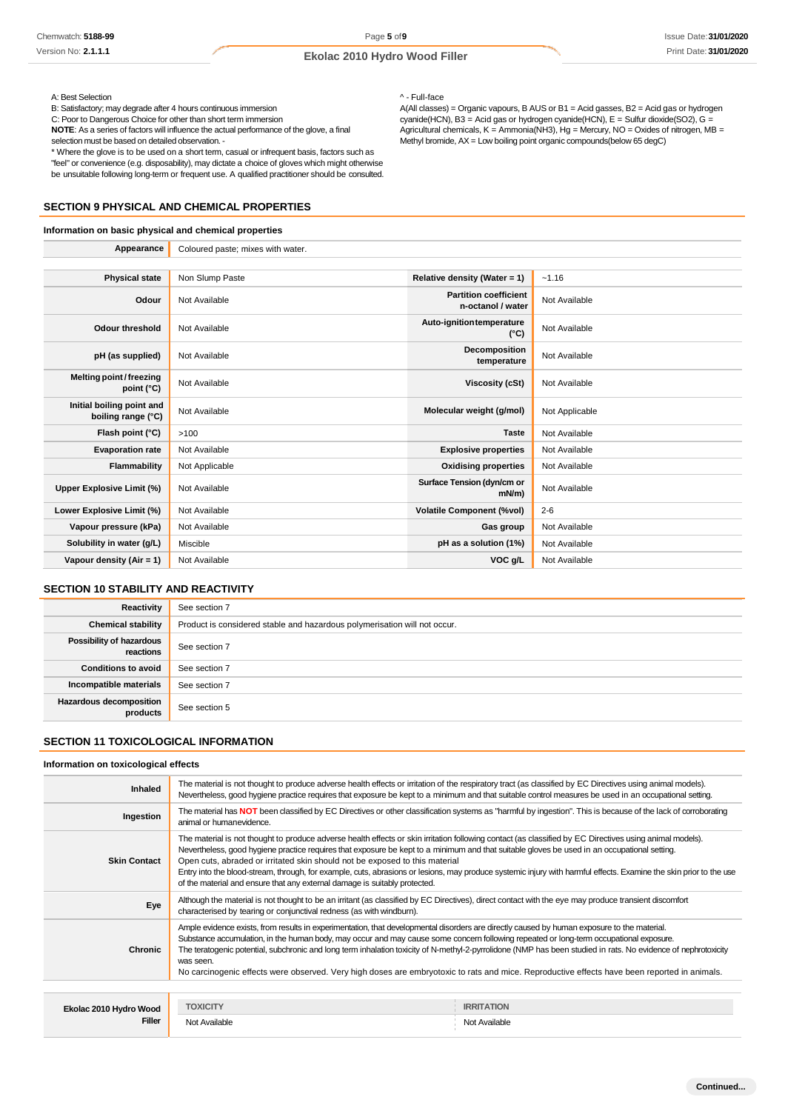A: Best Selection <br>
B: Satisfactory; may degrade after 4 hours continuous immersion <br>
A(All classes

\* Where the glove is to be used on a short term, casual or infrequent basis, factors such as "feel" or convenience (e.g. disposability), may dictate a choice of gloves which might otherwise be unsuitable following long-term or frequent use. A qualified practitioner should be consulted.

#### **SECTION 9 PHYSICAL AND CHEMICAL PROPERTIES**

## **Information on basic physical and chemical properties**

B: Satisfactory; may degrade after 4 hours continuous immersion and the same of A(All classes) = Organic vapours, B AUS or B1 = Acid gasses, B2 = Acid gas or hydrogen cyanide(HCN), E = Sulfur dioxide(SO2), G = C: Poor to D C: Poor to Dangerous Choice for other than short term immersion cyanide(HCN), B3 = Acid gas or hydrogen cyanide(HCN), E = Sulfur dioxide(SO2), G = **NOTE**: As a series of factors will influence the actual performance of the glove, a final **Agricultural chemicals, K = Ammonia(NH3)**, Hg = Mercury, NO = Oxides of nitrogen, MB = selection must be based on detailed observation. - Methyl bromide, AX= Low boiling point organic compounds(below 65 degC)

| Appearance                                      | Coloured paste; mixes with water. |                                                   |                |
|-------------------------------------------------|-----------------------------------|---------------------------------------------------|----------------|
|                                                 |                                   |                                                   |                |
| <b>Physical state</b>                           | Non Slump Paste                   | Relative density (Water = $1$ )                   | $-1.16$        |
| Odour                                           | Not Available                     | <b>Partition coefficient</b><br>n-octanol / water | Not Available  |
| <b>Odour threshold</b>                          | Not Available                     | Auto-ignition temperature<br>$(^{\circ}C)$        | Not Available  |
| pH (as supplied)                                | Not Available                     | Decomposition<br>temperature                      | Not Available  |
| Melting point/freezing<br>point (°C)            | Not Available                     | Viscosity (cSt)                                   | Not Available  |
| Initial boiling point and<br>boiling range (°C) | Not Available                     | Molecular weight (g/mol)                          | Not Applicable |
| Flash point (°C)                                | >100                              | <b>Taste</b>                                      | Not Available  |
| <b>Evaporation rate</b>                         | Not Available                     | <b>Explosive properties</b>                       | Not Available  |
| Flammability                                    | Not Applicable                    | <b>Oxidising properties</b>                       | Not Available  |
| <b>Upper Explosive Limit (%)</b>                | Not Available                     | Surface Tension (dyn/cm or<br>$mN/m$ )            | Not Available  |
| Lower Explosive Limit (%)                       | Not Available                     | <b>Volatile Component (%vol)</b>                  | $2 - 6$        |
| Vapour pressure (kPa)                           | Not Available                     | Gas group                                         | Not Available  |
| Solubility in water (g/L)                       | Miscible                          | pH as a solution (1%)                             | Not Available  |
| Vapour density $(Air = 1)$                      | Not Available                     | VOC g/L                                           | Not Available  |

# **SECTION 10 STABILITY AND REACTIVITY**

| Reactivity                                 | See section 7                                                             |
|--------------------------------------------|---------------------------------------------------------------------------|
| <b>Chemical stability</b>                  | Product is considered stable and hazardous polymerisation will not occur. |
| Possibility of hazardous<br>reactions      | See section 7                                                             |
| <b>Conditions to avoid</b>                 | See section 7                                                             |
| Incompatible materials                     | See section 7                                                             |
| <b>Hazardous decomposition</b><br>products | See section 5                                                             |

# **SECTION 11 TOXICOLOGICAL INFORMATION**

#### **Information on toxicological effects**

| Inhaled                | The material is not thought to produce adverse health effects or irritation of the respiratory tract (as classified by EC Directives using animal models).<br>Nevertheless, good hygiene practice requires that exposure be kept to a minimum and that suitable control measures be used in an occupational setting.                                                                                                                                                                                                                                                                                                                        |                   |  |
|------------------------|---------------------------------------------------------------------------------------------------------------------------------------------------------------------------------------------------------------------------------------------------------------------------------------------------------------------------------------------------------------------------------------------------------------------------------------------------------------------------------------------------------------------------------------------------------------------------------------------------------------------------------------------|-------------------|--|
| Ingestion              | The material has NOT been classified by EC Directives or other classification systems as "harmful by ingestion". This is because of the lack of corroborating<br>animal or humanevidence.                                                                                                                                                                                                                                                                                                                                                                                                                                                   |                   |  |
| <b>Skin Contact</b>    | The material is not thought to produce adverse health effects or skin irritation following contact (as classified by EC Directives using animal models).<br>Nevertheless, good hygiene practice requires that exposure be kept to a minimum and that suitable gloves be used in an occupational setting.<br>Open cuts, abraded or irritated skin should not be exposed to this material<br>Entry into the blood-stream, through, for example, cuts, abrasions or lesions, may produce systemic injury with harmful effects. Examine the skin prior to the use<br>of the material and ensure that any external damage is suitably protected. |                   |  |
| Eye                    | Although the material is not thought to be an irritant (as classified by EC Directives), direct contact with the eye may produce transient discomfort<br>characterised by tearing or conjunctival redness (as with windburn).                                                                                                                                                                                                                                                                                                                                                                                                               |                   |  |
| Chronic                | Ample evidence exists, from results in experimentation, that developmental disorders are directly caused by human exposure to the material.<br>Substance accumulation, in the human body, may occur and may cause some concern following repeated or long-term occupational exposure.<br>The teratogenic potential, subchronic and long term inhalation toxicity of N-methyl-2-pyrrolidone (NMP has been studied in rats. No evidence of nephrotoxicity<br>was seen.<br>No carcinogenic effects were observed. Very high doses are embryotoxic to rats and mice. Reproductive effects have been reported in animals.                        |                   |  |
|                        |                                                                                                                                                                                                                                                                                                                                                                                                                                                                                                                                                                                                                                             |                   |  |
| Ekolac 2010 Hydro Wood | <b>TOXICITY</b>                                                                                                                                                                                                                                                                                                                                                                                                                                                                                                                                                                                                                             | <b>IRRITATION</b> |  |
| <b>Filler</b>          | Not Available                                                                                                                                                                                                                                                                                                                                                                                                                                                                                                                                                                                                                               | Not Available     |  |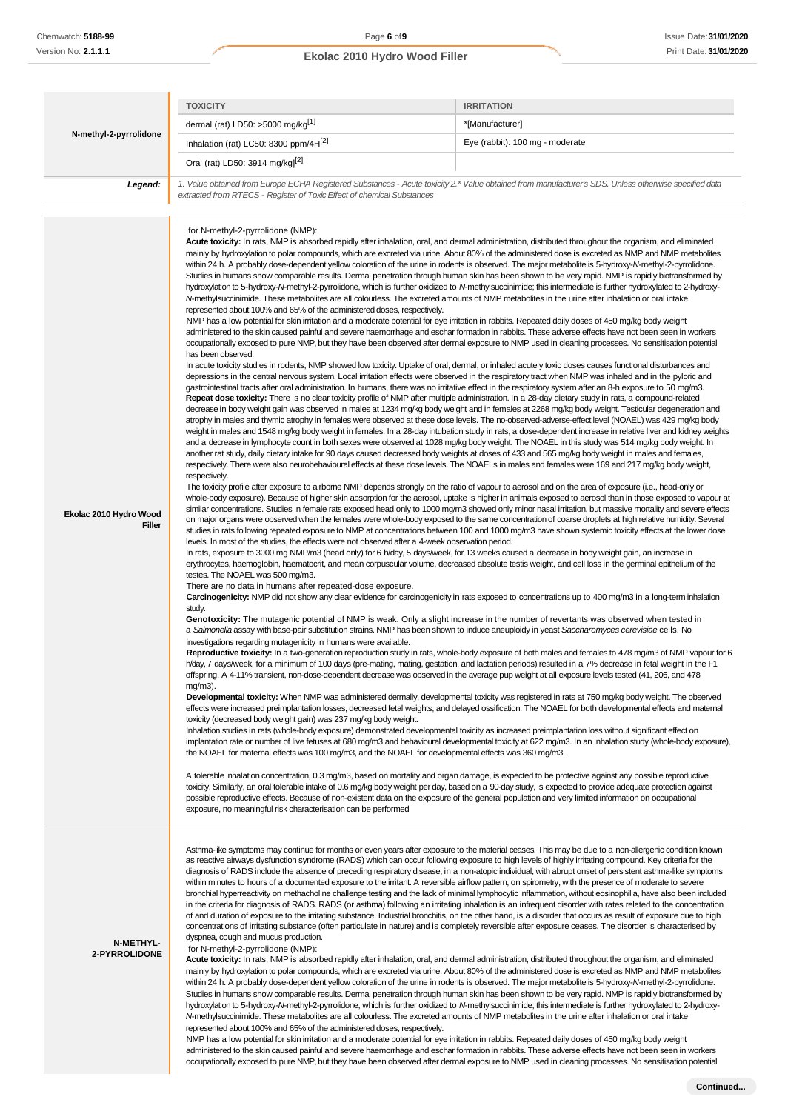# **Ekolac 2010 Hydro Wood Filler** Print Date: **31/01/2020**

|                                   | <b>TOXICITY</b>                                                                                                                                                                                                                                                                                                                                                                                                                                                                                                                                                                                                                                                                                                                                                                                                                                                                                                                                                                                                                                                                                                                                                                                                                                                                                                                                                                                                                                                                                                                                                                                                                                                                                                                                                                                                                                                                                                                                                                                                                                                                                                                                                                                                                                                                                                                                                                                                                                                                                                                                                                                                                                                                                                                                                                                                                                                                                                                                                                                                                                                                                                                                                                                                                                                                                                                                                                                                                                                                                                                                                                                                                                                                                                                                                                                                                                                                                                                                                                                                                                                                                                                                                                                                                                                                                                                                                                                                                                                                                                                                                                                                                                                                                                                                                                                                                                                                                                                                                                                                                                                                                         | <b>IRRITATION</b>                                                                                                                                                                                                                                                                                                                                                                                                                                                                                                                                                                                                                                                                                                                                                                                                                                                                                                                                                                                                                                                                                                                                                                                                                                                                                                                                                                                                                                                                                                                                                                                                                                                                                                                                                 |  |
|-----------------------------------|---------------------------------------------------------------------------------------------------------------------------------------------------------------------------------------------------------------------------------------------------------------------------------------------------------------------------------------------------------------------------------------------------------------------------------------------------------------------------------------------------------------------------------------------------------------------------------------------------------------------------------------------------------------------------------------------------------------------------------------------------------------------------------------------------------------------------------------------------------------------------------------------------------------------------------------------------------------------------------------------------------------------------------------------------------------------------------------------------------------------------------------------------------------------------------------------------------------------------------------------------------------------------------------------------------------------------------------------------------------------------------------------------------------------------------------------------------------------------------------------------------------------------------------------------------------------------------------------------------------------------------------------------------------------------------------------------------------------------------------------------------------------------------------------------------------------------------------------------------------------------------------------------------------------------------------------------------------------------------------------------------------------------------------------------------------------------------------------------------------------------------------------------------------------------------------------------------------------------------------------------------------------------------------------------------------------------------------------------------------------------------------------------------------------------------------------------------------------------------------------------------------------------------------------------------------------------------------------------------------------------------------------------------------------------------------------------------------------------------------------------------------------------------------------------------------------------------------------------------------------------------------------------------------------------------------------------------------------------------------------------------------------------------------------------------------------------------------------------------------------------------------------------------------------------------------------------------------------------------------------------------------------------------------------------------------------------------------------------------------------------------------------------------------------------------------------------------------------------------------------------------------------------------------------------------------------------------------------------------------------------------------------------------------------------------------------------------------------------------------------------------------------------------------------------------------------------------------------------------------------------------------------------------------------------------------------------------------------------------------------------------------------------------------------------------------------------------------------------------------------------------------------------------------------------------------------------------------------------------------------------------------------------------------------------------------------------------------------------------------------------------------------------------------------------------------------------------------------------------------------------------------------------------------------------------------------------------------------------------------------------------------------------------------------------------------------------------------------------------------------------------------------------------------------------------------------------------------------------------------------------------------------------------------------------------------------------------------------------------------------------------------------------------------------------------------------------------------------------------|-------------------------------------------------------------------------------------------------------------------------------------------------------------------------------------------------------------------------------------------------------------------------------------------------------------------------------------------------------------------------------------------------------------------------------------------------------------------------------------------------------------------------------------------------------------------------------------------------------------------------------------------------------------------------------------------------------------------------------------------------------------------------------------------------------------------------------------------------------------------------------------------------------------------------------------------------------------------------------------------------------------------------------------------------------------------------------------------------------------------------------------------------------------------------------------------------------------------------------------------------------------------------------------------------------------------------------------------------------------------------------------------------------------------------------------------------------------------------------------------------------------------------------------------------------------------------------------------------------------------------------------------------------------------------------------------------------------------------------------------------------------------|--|
|                                   | dermal (rat) LD50: >5000 mg/kg[1]                                                                                                                                                                                                                                                                                                                                                                                                                                                                                                                                                                                                                                                                                                                                                                                                                                                                                                                                                                                                                                                                                                                                                                                                                                                                                                                                                                                                                                                                                                                                                                                                                                                                                                                                                                                                                                                                                                                                                                                                                                                                                                                                                                                                                                                                                                                                                                                                                                                                                                                                                                                                                                                                                                                                                                                                                                                                                                                                                                                                                                                                                                                                                                                                                                                                                                                                                                                                                                                                                                                                                                                                                                                                                                                                                                                                                                                                                                                                                                                                                                                                                                                                                                                                                                                                                                                                                                                                                                                                                                                                                                                                                                                                                                                                                                                                                                                                                                                                                                                                                                                                       | *[Manufacturer]                                                                                                                                                                                                                                                                                                                                                                                                                                                                                                                                                                                                                                                                                                                                                                                                                                                                                                                                                                                                                                                                                                                                                                                                                                                                                                                                                                                                                                                                                                                                                                                                                                                                                                                                                   |  |
| N-methyl-2-pyrrolidone            | Inhalation (rat) LC50: 8300 ppm/4H <sup>[2]</sup>                                                                                                                                                                                                                                                                                                                                                                                                                                                                                                                                                                                                                                                                                                                                                                                                                                                                                                                                                                                                                                                                                                                                                                                                                                                                                                                                                                                                                                                                                                                                                                                                                                                                                                                                                                                                                                                                                                                                                                                                                                                                                                                                                                                                                                                                                                                                                                                                                                                                                                                                                                                                                                                                                                                                                                                                                                                                                                                                                                                                                                                                                                                                                                                                                                                                                                                                                                                                                                                                                                                                                                                                                                                                                                                                                                                                                                                                                                                                                                                                                                                                                                                                                                                                                                                                                                                                                                                                                                                                                                                                                                                                                                                                                                                                                                                                                                                                                                                                                                                                                                                       | Eye (rabbit): 100 mg - moderate                                                                                                                                                                                                                                                                                                                                                                                                                                                                                                                                                                                                                                                                                                                                                                                                                                                                                                                                                                                                                                                                                                                                                                                                                                                                                                                                                                                                                                                                                                                                                                                                                                                                                                                                   |  |
|                                   | Oral (rat) LD50: 3914 mg/kg] <sup>[2]</sup>                                                                                                                                                                                                                                                                                                                                                                                                                                                                                                                                                                                                                                                                                                                                                                                                                                                                                                                                                                                                                                                                                                                                                                                                                                                                                                                                                                                                                                                                                                                                                                                                                                                                                                                                                                                                                                                                                                                                                                                                                                                                                                                                                                                                                                                                                                                                                                                                                                                                                                                                                                                                                                                                                                                                                                                                                                                                                                                                                                                                                                                                                                                                                                                                                                                                                                                                                                                                                                                                                                                                                                                                                                                                                                                                                                                                                                                                                                                                                                                                                                                                                                                                                                                                                                                                                                                                                                                                                                                                                                                                                                                                                                                                                                                                                                                                                                                                                                                                                                                                                                                             |                                                                                                                                                                                                                                                                                                                                                                                                                                                                                                                                                                                                                                                                                                                                                                                                                                                                                                                                                                                                                                                                                                                                                                                                                                                                                                                                                                                                                                                                                                                                                                                                                                                                                                                                                                   |  |
| Legend:                           | 1. Value obtained from Europe ECHA Registered Substances - Acute toxicity 2.* Value obtained from manufacturer's SDS. Unless otherwise specified data                                                                                                                                                                                                                                                                                                                                                                                                                                                                                                                                                                                                                                                                                                                                                                                                                                                                                                                                                                                                                                                                                                                                                                                                                                                                                                                                                                                                                                                                                                                                                                                                                                                                                                                                                                                                                                                                                                                                                                                                                                                                                                                                                                                                                                                                                                                                                                                                                                                                                                                                                                                                                                                                                                                                                                                                                                                                                                                                                                                                                                                                                                                                                                                                                                                                                                                                                                                                                                                                                                                                                                                                                                                                                                                                                                                                                                                                                                                                                                                                                                                                                                                                                                                                                                                                                                                                                                                                                                                                                                                                                                                                                                                                                                                                                                                                                                                                                                                                                   |                                                                                                                                                                                                                                                                                                                                                                                                                                                                                                                                                                                                                                                                                                                                                                                                                                                                                                                                                                                                                                                                                                                                                                                                                                                                                                                                                                                                                                                                                                                                                                                                                                                                                                                                                                   |  |
|                                   | extracted from RTECS - Register of Toxic Effect of chemical Substances                                                                                                                                                                                                                                                                                                                                                                                                                                                                                                                                                                                                                                                                                                                                                                                                                                                                                                                                                                                                                                                                                                                                                                                                                                                                                                                                                                                                                                                                                                                                                                                                                                                                                                                                                                                                                                                                                                                                                                                                                                                                                                                                                                                                                                                                                                                                                                                                                                                                                                                                                                                                                                                                                                                                                                                                                                                                                                                                                                                                                                                                                                                                                                                                                                                                                                                                                                                                                                                                                                                                                                                                                                                                                                                                                                                                                                                                                                                                                                                                                                                                                                                                                                                                                                                                                                                                                                                                                                                                                                                                                                                                                                                                                                                                                                                                                                                                                                                                                                                                                                  |                                                                                                                                                                                                                                                                                                                                                                                                                                                                                                                                                                                                                                                                                                                                                                                                                                                                                                                                                                                                                                                                                                                                                                                                                                                                                                                                                                                                                                                                                                                                                                                                                                                                                                                                                                   |  |
| Ekolac 2010 Hydro Wood<br>Filler  | for N-methyl-2-pyrrolidone (NMP):<br>Acute toxicity: In rats, NMP is absorbed rapidly after inhalation, oral, and dermal administration, distributed throughout the organism, and eliminated<br>mainly by hydroxylation to polar compounds, which are excreted via urine. About 80% of the administered dose is excreted as NMP and NMP metabolites<br>within 24 h. A probably dose-dependent yellow coloration of the urine in rodents is observed. The major metabolite is 5-hydroxy-N-methyl-2-pyrrolidone.<br>hydroxylation to 5-hydroxy-N-methyl-2-pyrrolidone, which is further oxidized to N-methylsuccinimide; this intermediate is further hydroxylated to 2-hydroxy-<br>N-methylsuccinimide. These metabolites are all colourless. The excreted amounts of NMP metabolites in the urine after inhalation or oral intake<br>represented about 100% and 65% of the administered doses, respectively.<br>NMP has a low potential for skin irritation and a moderate potential for eye irritation in rabbits. Repeated daily doses of 450 mg/kg body weight<br>administered to the skin caused painful and severe haemorrhage and eschar formation in rabbits. These adverse effects have not been seen in workers<br>occupationally exposed to pure NMP, but they have been observed after dermal exposure to NMP used in cleaning processes. No sensitisation potential<br>has been observed.<br>In acute toxicity studies in rodents, NMP showed low toxicity. Uptake of oral, dermal, or inhaled acutely toxic doses causes functional disturbances and<br>depressions in the central nervous system. Local irritation effects were observed in the respiratory tract when NMP was inhaled and in the pyloric and<br>gastrointestinal tracts after oral administration. In humans, there was no irritative effect in the respiratory system after an 8-h exposure to 50 mg/m3.<br>Repeat dose toxicity: There is no clear toxicity profile of NMP after multiple administration. In a 28-day dietary study in rats, a compound-related<br>decrease in body weight gain was observed in males at 1234 mg/kg body weight and in females at 2268 mg/kg body weight. Testicular degeneration and<br>atrophy in males and thymic atrophy in females were observed at these dose levels. The no-observed-adverse-effect level (NOAEL) was 429 mg/kg body<br>and a decrease in lymphocyte count in both sexes were observed at 1028 mg/kg body weight. The NOAEL in this study was 514 mg/kg body weight. In<br>another rat study, daily dietary intake for 90 days caused decreased body weights at doses of 433 and 565 mg/kg body weight in males and females,<br>respectively. There were also neurobehavioural effects at these dose levels. The NOAELs in males and females were 169 and 217 mg/kg body weight,<br>respectively.<br>The toxicity profile after exposure to airborne NMP depends strongly on the ratio of vapour to aerosol and on the area of exposure (i.e., head-only or<br>levels. In most of the studies, the effects were not observed after a 4-week observation period.<br>In rats, exposure to 3000 mg NMP/m3 (head only) for 6 h/day, 5 days/week, for 13 weeks caused a decrease in body weight gain, an increase in<br>erythrocytes, haemoglobin, haematocrit, and mean corpuscular volume, decreased absolute testis weight, and cell loss in the germinal epithelium of the<br>testes. The NOAEL was 500 mg/m3.<br>There are no data in humans after repeated-dose exposure.<br>study.<br>Genotoxicity: The mutagenic potential of NMP is weak. Only a slight increase in the number of revertants was observed when tested in<br>a Salmonella assay with base-pair substitution strains. NMP has been shown to induce aneuploidy in yeast Saccharomyces cerevisiae cells. No<br>investigations regarding mutagenicity in humans were available.<br>h/day, 7 days/week, for a minimum of 100 days (pre-mating, mating, gestation, and lactation periods) resulted in a 7% decrease in fetal weight in the F1<br>offspring. A 4-11% transient, non-dose-dependent decrease was observed in the average pup weight at all exposure levels tested (41, 206, and 478<br>$mg/m3$ ).<br>toxicity (decreased body weight gain) was 237 mg/kg body weight.<br>Inhalation studies in rats (whole-body exposure) demonstrated developmental toxicity as increased preimplantation loss without significant effect on<br>the NOAEL for maternal effects was 100 mg/m3, and the NOAEL for developmental effects was 360 mg/m3.<br>A tolerable inhalation concentration, 0.3 mg/m3, based on mortality and organ damage, is expected to be protective against any possible reproductive<br>toxicity. Similarly, an oral tolerable intake of 0.6 mg/kg body weight per day, based on a 90-day study, is expected to provide adequate protection against<br>possible reproductive effects. Because of non-existent data on the exposure of the general population and very limited information on occupational<br>exposure, no meaningful risk characterisation can be performed | Studies in humans show comparable results. Dermal penetration through human skin has been shown to be very rapid. NMP is rapidly biotransformed by<br>weight in males and 1548 mg/kg body weight in females. In a 28-day intubation study in rats, a dose-dependent increase in relative liver and kidney weights<br>whole-body exposure). Because of higher skin absorption for the aerosol, uptake is higher in animals exposed to aerosol than in those exposed to vapour at<br>similar concentrations. Studies in female rats exposed head only to 1000 mg/m3 showed only minor nasal irritation, but massive mortality and severe effects<br>on major organs were observed when the females were whole-body exposed to the same concentration of coarse droplets at high relative humidity. Several<br>studies in rats following repeated exposure to NMP at concentrations between 100 and 1000 mg/m3 have shown systemic toxicity effects at the lower dose<br>Carcinogenicity: NMP did not show any clear evidence for carcinogenicity in rats exposed to concentrations up to 400 mg/m3 in a long-term inhalation<br>Reproductive toxicity: In a two-generation reproduction study in rats, whole-body exposure of both males and females to 478 mg/m3 of NMP vapour for 6<br>Developmental toxicity: When NMP was administered dermally, developmental toxicity was registered in rats at 750 mg/kg body weight. The observed<br>effects were increased preimplantation losses, decreased fetal weights, and delayed ossification. The NOAEL for both developmental effects and maternal<br>implantation rate or number of live fetuses at 680 mg/m3 and behavioural developmental toxicity at 622 mg/m3. In an inhalation study (whole-body exposure), |  |
| <b>N-METHYL-</b><br>2-PYRROLIDONE | as reactive airways dysfunction syndrome (RADS) which can occur following exposure to high levels of highly irritating compound. Key criteria for the<br>within minutes to hours of a documented exposure to the irritant. A reversible airflow pattern, on spirometry, with the presence of moderate to severe<br>of and duration of exposure to the irritating substance. Industrial bronchitis, on the other hand, is a disorder that occurs as result of exposure due to high<br>concentrations of irritating substance (often particulate in nature) and is completely reversible after exposure ceases. The disorder is characterised by<br>dyspnea, cough and mucus production.<br>for N-methyl-2-pyrrolidone (NMP):<br>Acute toxicity: In rats, NMP is absorbed rapidly after inhalation, oral, and dermal administration, distributed throughout the organism, and eliminated<br>mainly by hydroxylation to polar compounds, which are excreted via urine. About 80% of the administered dose is excreted as NMP and NMP metabolites<br>within 24 h. A probably dose-dependent yellow coloration of the urine in rodents is observed. The major metabolite is 5-hydroxy-N-methyl-2-pyrrolidone.<br>hydroxylation to 5-hydroxy-N-methyl-2-pyrrolidone, which is further oxidized to N-methylsuccinimide; this intermediate is further hydroxylated to 2-hydroxy-<br>N-methylsuccinimide. These metabolites are all colourless. The excreted amounts of NMP metabolites in the urine after inhalation or oral intake<br>represented about 100% and 65% of the administered doses, respectively.<br>NMP has a low potential for skin irritation and a moderate potential for eye irritation in rabbits. Repeated daily doses of 450 mg/kg body weight                                                                                                                                                                                                                                                                                                                                                                                                                                                                                                                                                                                                                                                                                                                                                                                                                                                                                                                                                                                                                                                                                                                                                                                                                                                                                                                                                                                                                                                                                                                                                                                                                                                                                                                                                                                                                                                                                                                                                                                                                                                                                                                                                                                                                                                                                                                                                                                                                                                                                                                                                                                                                                                                                                                                                                                                                                                                                                                                                                                                                                                                                                                                                                                                                                                                                                                                             | Asthma-like symptoms may continue for months or even years after exposure to the material ceases. This may be due to a non-allergenic condition known<br>diagnosis of RADS include the absence of preceding respiratory disease, in a non-atopic individual, with abrupt onset of persistent asthma-like symptoms<br>bronchial hyperreactivity on methacholine challenge testing and the lack of minimal lymphocytic inflammation, without eosinophilia, have also been included<br>in the criteria for diagnosis of RADS. RADS (or asthma) following an irritating inhalation is an infrequent disorder with rates related to the concentration<br>Studies in humans show comparable results. Dermal penetration through human skin has been shown to be very rapid. NMP is rapidly biotransformed by                                                                                                                                                                                                                                                                                                                                                                                                                                                                                                                                                                                                                                                                                                                                                                                                                                                                                                                                                            |  |

administered to the skin caused painful and severe haemorrhage and eschar formation in rabbits. These adverse effects have not been seen in workers occupationally exposed to pure NMP, but they have been observed after dermal exposure to NMP used in cleaning processes. No sensitisation potential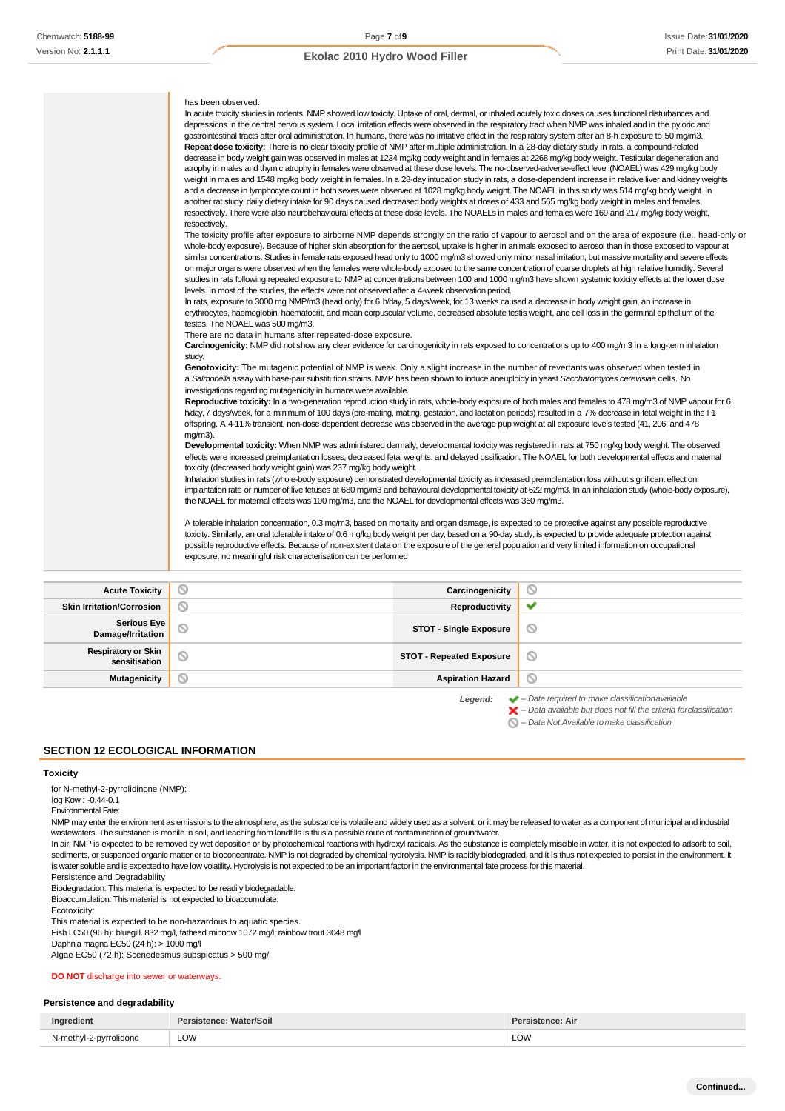| has been observed.<br>In acute toxicity studies in rodents, NMP showed low toxicity. Uptake of oral, dermal, or inhaled acutely toxic doses causes functional disturbances and<br>depressions in the central nervous system. Local irritation effects were observed in the respiratory tract when NMP was inhaled and in the pyloric and<br>gastrointestinal tracts after oral administration. In humans, there was no irritative effect in the respiratory system after an 8-h exposure to 50 mg/m3.<br>Repeat dose toxicity: There is no clear toxicity profile of NMP after multiple administration. In a 28-day dietary study in rats, a compound-related<br>decrease in body weight gain was observed in males at 1234 mg/kg body weight and in females at 2268 mg/kg body weight. Testicular degeneration and<br>atrophy in males and thymic atrophy in females were observed at these dose levels. The no-observed-adverse-effect level (NOAEL) was 429 mg/kg body<br>weight in males and 1548 mg/kg body weight in females. In a 28-day intubation study in rats, a dose-dependent increase in relative liver and kidney weights<br>and a decrease in lymphocyte count in both sexes were observed at 1028 mg/kg body weight. The NOAEL in this study was 514 mg/kg body weight. In<br>another rat study, daily dietary intake for 90 days caused decreased body weights at doses of 433 and 565 mg/kg body weight in males and females,<br>respectively. There were also neurobehavioural effects at these dose levels. The NOAELs in males and females were 169 and 217 mg/kg body weight,<br>respectively.<br>The toxicity profile after exposure to airborne NMP depends strongly on the ratio of vapour to aerosol and on the area of exposure (i.e., head-only or<br>whole-body exposure). Because of higher skin absorption for the aerosol, uptake is higher in animals exposed to aerosol than in those exposed to vapour at<br>similar concentrations. Studies in female rats exposed head only to 1000 mg/m3 showed only minor nasal irritation, but massive mortality and severe effects<br>on major organs were observed when the females were whole-body exposed to the same concentration of coarse droplets at high relative humidity. Several<br>studies in rats following repeated exposure to NMP at concentrations between 100 and 1000 mg/m3 have shown systemic toxicity effects at the lower dose<br>levels. In most of the studies, the effects were not observed after a 4-week observation period.<br>In rats, exposure to 3000 mg NMP/m3 (head only) for 6 h/day, 5 days/week, for 13 weeks caused a decrease in body weight gain, an increase in<br>erythrocytes, haemoglobin, haematocrit, and mean corpuscular volume, decreased absolute testis weight, and cell loss in the germinal epithelium of the<br>testes. The NOAEL was 500 mg/m3.<br>There are no data in humans after repeated-dose exposure.<br>Carcinogenicity: NMP did not show any clear evidence for carcinogenicity in rats exposed to concentrations up to 400 mg/m3 in a long-term inhalation<br>study.<br>Genotoxicity: The mutagenic potential of NMP is weak. Only a slight increase in the number of revertants was observed when tested in<br>a Salmonella assay with base-pair substitution strains. NMP has been shown to induce aneuploidy in yeast Saccharomyces cerevisiae cells. No<br>investigations regarding mutagenicity in humans were available.<br>Reproductive toxicity: In a two-generation reproduction study in rats, whole-body exposure of both males and females to 478 mg/m3 of NMP vapour for 6<br>h/day, 7 days/week, for a minimum of 100 days (pre-mating, mating, gestation, and lactation periods) resulted in a 7% decrease in fetal weight in the F1<br>offspring. A 4-11% transient, non-dose-dependent decrease was observed in the average pup weight at all exposure levels tested (41, 206, and 478<br>$mq/m3$ ).<br>Developmental toxicity: When NMP was administered demally, developmental toxicity was registered in rats at 750 mg/kg body weight. The observed<br>effects were increased preimplantation losses, decreased fetal weights, and delayed ossification. The NOAEL for both developmental effects and maternal<br>toxicity (decreased body weight gain) was 237 mg/kg body weight.<br>Inhalation studies in rats (whole-body exposure) demonstrated developmental toxicity as increased preimplantation loss without significant effect on<br>implantation rate or number of live fetuses at 680 mg/m3 and behavioural developmental toxicity at 622 mg/m3. In an inhalation study (whole-body exposure),<br>the NOAEL for maternal effects was 100 mg/m3, and the NOAEL for developmental effects was 360 mg/m3. |
|-------------------------------------------------------------------------------------------------------------------------------------------------------------------------------------------------------------------------------------------------------------------------------------------------------------------------------------------------------------------------------------------------------------------------------------------------------------------------------------------------------------------------------------------------------------------------------------------------------------------------------------------------------------------------------------------------------------------------------------------------------------------------------------------------------------------------------------------------------------------------------------------------------------------------------------------------------------------------------------------------------------------------------------------------------------------------------------------------------------------------------------------------------------------------------------------------------------------------------------------------------------------------------------------------------------------------------------------------------------------------------------------------------------------------------------------------------------------------------------------------------------------------------------------------------------------------------------------------------------------------------------------------------------------------------------------------------------------------------------------------------------------------------------------------------------------------------------------------------------------------------------------------------------------------------------------------------------------------------------------------------------------------------------------------------------------------------------------------------------------------------------------------------------------------------------------------------------------------------------------------------------------------------------------------------------------------------------------------------------------------------------------------------------------------------------------------------------------------------------------------------------------------------------------------------------------------------------------------------------------------------------------------------------------------------------------------------------------------------------------------------------------------------------------------------------------------------------------------------------------------------------------------------------------------------------------------------------------------------------------------------------------------------------------------------------------------------------------------------------------------------------------------------------------------------------------------------------------------------------------------------------------------------------------------------------------------------------------------------------------------------------------------------------------------------------------------------------------------------------------------------------------------------------------------------------------------------------------------------------------------------------------------------------------------------------------------------------------------------------------------------------------------------------------------------------------------------------------------------------------------------------------------------------------------------------------------------------------------------------------------------------------------------------------------------------------------------------------------------------------------------------------------------------------------------------------------------------------------------------------------------------------------------------------------------------------------------------------------------------------------------------------------------------------------------------------------------------------------------------------------------------------------------------------------------------------------------------------------------------------------------------------------------------------------------------------------------------------------------------------------------------------------------------|
| A tolerable inhalation concentration, 0.3 mg/m3, based on mortality and organ damage, is expected to be protective against any possible reproductive<br>toxicity. Similarly, an oral tolerable intake of 0.6 mg/kg body weight per day, based on a 90-day study, is expected to provide adequate protection against<br>possible reproductive effects. Because of non-existent data on the exposure of the general population and very limited information on occupational<br>exposure, no meaningful risk characterisation can be performed                                                                                                                                                                                                                                                                                                                                                                                                                                                                                                                                                                                                                                                                                                                                                                                                                                                                                                                                                                                                                                                                                                                                                                                                                                                                                                                                                                                                                                                                                                                                                                                                                                                                                                                                                                                                                                                                                                                                                                                                                                                                                                                                                                                                                                                                                                                                                                                                                                                                                                                                                                                                                                                                                                                                                                                                                                                                                                                                                                                                                                                                                                                                                                                                                                                                                                                                                                                                                                                                                                                                                                                                                                                                                                                                                                                                                                                                                                                                                                                                                                                                                                                                                                                                                                         |

| <b>Acute Toxicity</b>                       | N                   | Carcinogenicity                 | ∾                                                                     |
|---------------------------------------------|---------------------|---------------------------------|-----------------------------------------------------------------------|
| <b>Skin Irritation/Corrosion</b>            | $\scriptstyle\circ$ | Reproductivity                  | $\checkmark$                                                          |
| Serious Eye<br>Damage/Irritation            | N                   | <b>STOT - Single Exposure</b>   | ∾                                                                     |
| <b>Respiratory or Skin</b><br>sensitisation | $\circlearrowright$ | <b>STOT - Repeated Exposure</b> | ∾                                                                     |
| Mutagenicity                                | $\scriptstyle\circ$ | <b>Aspiration Hazard</b>        | ◎                                                                     |
|                                             |                     | Legend:                         | $\blacktriangleright$ - Data required to make classificationavailable |

*– Data available but does not fill the criteria forclassification*

*– Data Not Available tomake classification*

# **SECTION 12 ECOLOGICAL INFORMATION**

# **Toxicity**

for N-methyl-2-pyrrolidinone (NMP):

log Kow : -0.44-0.1

Environmental Fate:

NMP may enter the environment as emissions to the atmosphere, as the substance is volatile and widely used as a solvent, or it may be released to water as a component of municipal and industrial wastewaters. The substance is mobile in soil, and leaching from landfills is thus a possible route of contamination of groundwater.

In air, NMP is expected to be removed by wet deposition or by photochemical reactions with hydroxyl radicals. As the substance is completely miscible in water, it is not expected to adsorb to soil, sediments, or suspended organic matter or to bioconcentrate. NMP is not degraded by chemical hydrolysis. NMP is rapidly biodegraded, and it is thus not expected to persist in the environment. It is water soluble and is expected to have low volatility. Hydrolysis is not expected to be an important factor in the environmental fate process for this material.

Persistence and Degradability

Biodegradation: This material is expected to be readily biodegradable.

Bioaccumulation: This material is not expected to bioaccumulate.

Ecotoxicity:

This material is expected to be non-hazardous to aquatic species.

Fish LC50 (96 h): bluegill. 832 mg/l, fathead minnow 1072 mg/l; rainbow trout 3048 mg/l

Daphnia magna EC50 (24 h): > 1000 mg/l

Algae EC50 (72 h): Scenedesmus subspicatus > 500 mg/l

**DO NOT** discharge into sewer or waterways.

### **Persistence and degradability**

|                                      | ווסכי<br>.<br>ы | ence: Air |
|--------------------------------------|-----------------|-----------|
| $m \wedge$<br>2-nwrr<br>vlidone<br>. | <b>LOW</b>      | LOW       |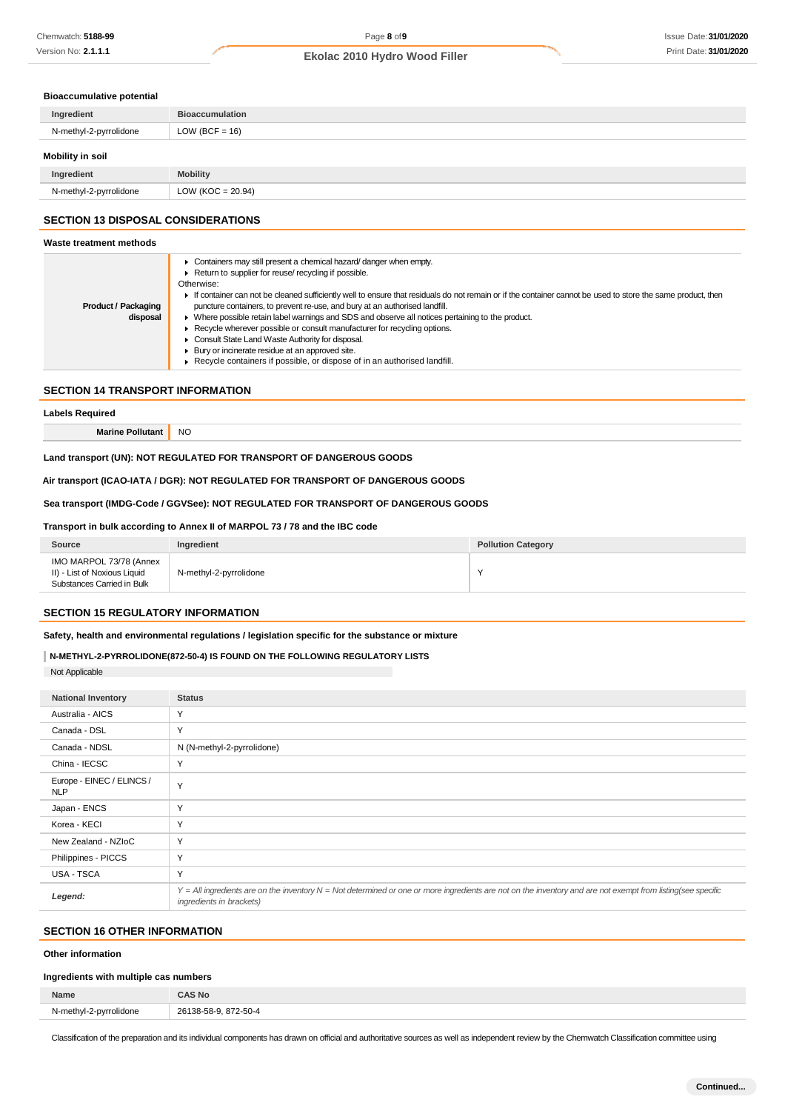#### **Bioaccumulative potential**

| Ingredient             | <b>Bioaccumulation</b> |
|------------------------|------------------------|
| N-methyl-2-pyrrolidone | LOW (BCF = $16$ )      |
| Mobility in soil       |                        |
| Ingredient             | <b>Mobility</b>        |
| N-methyl-2-pyrrolidone | LOW ( $KOC = 20.94$ )  |

#### **SECTION 13 DISPOSAL CONSIDERATIONS**

#### **Waste treatment methods** Containers may still present a chemical hazard/ danger when empty. **Return to supplier for reuse/ recycling if possible** Otherwise: If container can not be cleaned sufficiently well to ensure that residuals do not remain or if the container cannot be used to store the same product, then **Product / Packaging** puncture containers, to prevent re-use, and bury at an authorised landfill. **disposal** Where possible retain label warnings and SDS and observe all notices pertaining to the product.  $\mathbf{r}$ Recycle wherever possible or consult manufacturer for recycling options. Consult State Land Waste Authority for disposal. Bury or incinerate residue at an approved site. Recycle containers if possible, or dispose of in an authorised landfill.

# **SECTION 14 TRANSPORT INFORMATION**

**Labels Required**

**Marine Pollutant** NO

## **Land transport (UN): NOT REGULATED FOR TRANSPORT OF DANGEROUS GOODS**

#### **Air transport (ICAO-IATA / DGR): NOT REGULATED FOR TRANSPORT OF DANGEROUS GOODS**

### **Sea transport (IMDG-Code / GGVSee): NOT REGULATED FOR TRANSPORT OF DANGEROUS GOODS**

### **Transport in bulk according to Annex II of MARPOL 73 / 78 and the IBC code**

| Source                                                                                | Ingredient             | <b>Pollution Category</b> |
|---------------------------------------------------------------------------------------|------------------------|---------------------------|
| IMO MARPOL 73/78 (Annex<br>II) - List of Noxious Liquid<br>Substances Carried in Bulk | N-methyl-2-pyrrolidone |                           |

## **SECTION 15 REGULATORY INFORMATION**

#### **Safety, health and environmental regulations / legislation specific for the substance or mixture**

### **N-METHYL-2-PYRROLIDONE(872-50-4) IS FOUND ON THE FOLLOWING REGULATORY LISTS**

Not Applicable

| <b>National Inventory</b>               | <b>Status</b>                                                                                                                                                                                |
|-----------------------------------------|----------------------------------------------------------------------------------------------------------------------------------------------------------------------------------------------|
| Australia - AICS                        | Y                                                                                                                                                                                            |
| Canada - DSL                            | $\checkmark$                                                                                                                                                                                 |
| Canada - NDSL                           | N (N-methyl-2-pyrrolidone)                                                                                                                                                                   |
| China - IECSC                           | Y                                                                                                                                                                                            |
| Europe - EINEC / ELINCS /<br><b>NLP</b> | Y                                                                                                                                                                                            |
| Japan - ENCS                            | $\checkmark$                                                                                                                                                                                 |
| Korea - KECI                            | Y                                                                                                                                                                                            |
| New Zealand - NZIoC                     | Y                                                                                                                                                                                            |
| Philippines - PICCS                     | Y                                                                                                                                                                                            |
| USA - TSCA                              | Y                                                                                                                                                                                            |
| Legend:                                 | $Y = All$ ingredients are on the inventory $N = Not$ determined or one or more ingredients are not on the inventory and are not exempt from listing(see specific<br>ingredients in brackets) |

# **SECTION 16 OTHER INFORMATION**

## **Other information**

## **Ingredients with multiple cas numbers**

| Name                   | :AS No                  |
|------------------------|-------------------------|
| N-methyl-2-pyrrolidone | 872-50-4<br>26138-58-9, |
|                        |                         |

Classification of the preparation and its individual components has drawn on official and authoritative sources as well as independent review by the Chemwatch Classification committee using